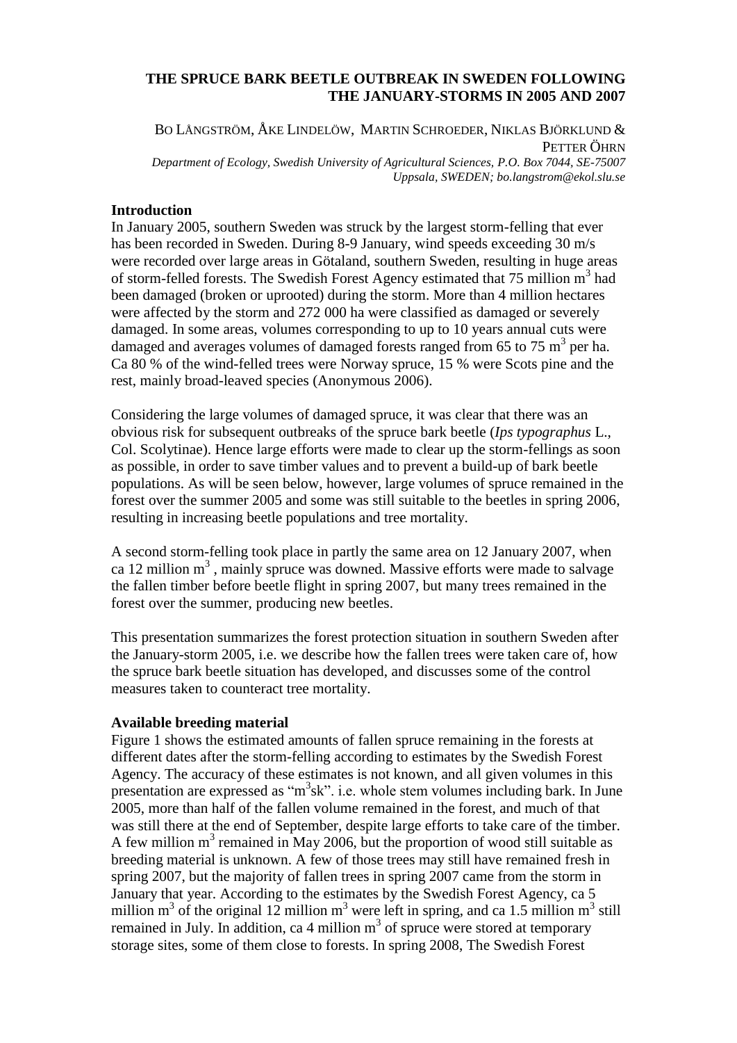# **THE SPRUCE BARK BEETLE OUTBREAK IN SWEDEN FOLLOWING THE JANUARY-STORMS IN 2005 AND 2007**

BO LÅNGSTRÖM, ÅKE LINDELÖW, MARTIN SCHROEDER, NIKLAS BJÖRKLUND & PETTER ÖHRN *Department of Ecology, Swedish University of Agricultural Sciences, P.O. Box 7044, SE-75007 Uppsala, SWEDEN; bo.langstrom@ekol.slu.se*

## **Introduction**

In January 2005, southern Sweden was struck by the largest storm-felling that ever has been recorded in Sweden. During 8-9 January, wind speeds exceeding 30 m/s were recorded over large areas in Götaland, southern Sweden, resulting in huge areas of storm-felled forests. The Swedish Forest Agency estimated that  $75$  million m<sup>3</sup> had been damaged (broken or uprooted) during the storm. More than 4 million hectares were affected by the storm and 272 000 ha were classified as damaged or severely damaged. In some areas, volumes corresponding to up to 10 years annual cuts were damaged and averages volumes of damaged forests ranged from 65 to 75  $\text{m}^3$  per ha. Ca 80 % of the wind-felled trees were Norway spruce, 15 % were Scots pine and the rest, mainly broad-leaved species (Anonymous 2006).

Considering the large volumes of damaged spruce, it was clear that there was an obvious risk for subsequent outbreaks of the spruce bark beetle (*Ips typographus* L., Col. Scolytinae). Hence large efforts were made to clear up the storm-fellings as soon as possible, in order to save timber values and to prevent a build-up of bark beetle populations. As will be seen below, however, large volumes of spruce remained in the forest over the summer 2005 and some was still suitable to the beetles in spring 2006, resulting in increasing beetle populations and tree mortality.

A second storm-felling took place in partly the same area on 12 January 2007, when ca 12 million m<sup>3</sup>, mainly spruce was downed. Massive efforts were made to salvage the fallen timber before beetle flight in spring 2007, but many trees remained in the forest over the summer, producing new beetles.

This presentation summarizes the forest protection situation in southern Sweden after the January-storm 2005, i.e. we describe how the fallen trees were taken care of, how the spruce bark beetle situation has developed, and discusses some of the control measures taken to counteract tree mortality.

#### **Available breeding material**

Figure 1 shows the estimated amounts of fallen spruce remaining in the forests at different dates after the storm-felling according to estimates by the Swedish Forest Agency. The accuracy of these estimates is not known, and all given volumes in this presentation are expressed as "m<sup>3</sup>sk". i.e. whole stem volumes including bark. In June 2005, more than half of the fallen volume remained in the forest, and much of that was still there at the end of September, despite large efforts to take care of the timber. A few million  $m<sup>3</sup>$  remained in May 2006, but the proportion of wood still suitable as breeding material is unknown. A few of those trees may still have remained fresh in spring 2007, but the majority of fallen trees in spring 2007 came from the storm in January that year. According to the estimates by the Swedish Forest Agency, ca 5 million  $m^3$  of the original 12 million  $m^3$  were left in spring, and ca 1.5 million  $m^3$  still remained in July. In addition, ca 4 million  $m<sup>3</sup>$  of spruce were stored at temporary storage sites, some of them close to forests. In spring 2008, The Swedish Forest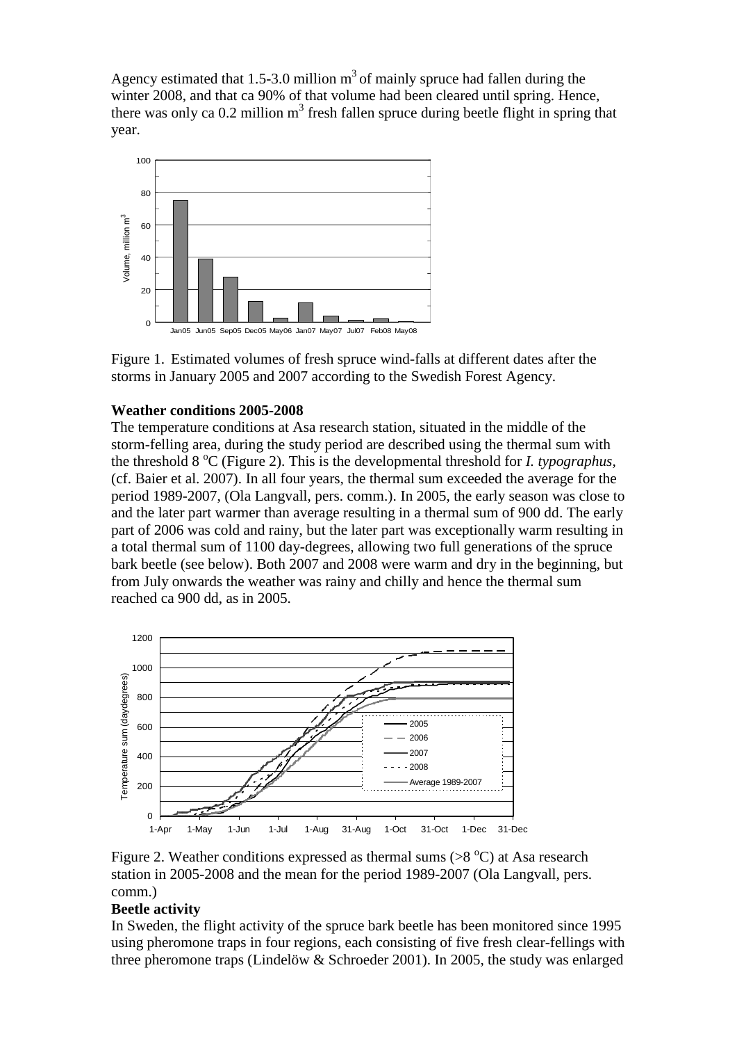Agency estimated that 1.5-3.0 million  $m<sup>3</sup>$  of mainly spruce had fallen during the winter 2008, and that ca 90% of that volume had been cleared until spring. Hence, there was only ca  $0.2$  million  $m<sup>3</sup>$  fresh fallen spruce during beetle flight in spring that year.



Figure 1. Estimated volumes of fresh spruce wind-falls at different dates after the storms in January 2005 and 2007 according to the Swedish Forest Agency.

# **Weather conditions 2005-2008**

The temperature conditions at Asa research station, situated in the middle of the storm-felling area, during the study period are described using the thermal sum with the threshold  $8^{\circ}$ C (Figure 2). This is the developmental threshold for *I. typographus,* (cf. Baier et al. 2007). In all four years, the thermal sum exceeded the average for the period 1989-2007, (Ola Langvall, pers. comm.). In 2005, the early season was close to and the later part warmer than average resulting in a thermal sum of 900 dd. The early part of 2006 was cold and rainy, but the later part was exceptionally warm resulting in a total thermal sum of 1100 day-degrees, allowing two full generations of the spruce bark beetle (see below). Both 2007 and 2008 were warm and dry in the beginning, but from July onwards the weather was rainy and chilly and hence the thermal sum reached ca 900 dd, as in 2005.



Figure 2. Weather conditions expressed as thermal sums  $(>8 °C)$  at Asa research station in 2005-2008 and the mean for the period 1989-2007 (Ola Langvall, pers. comm.)

## **Beetle activity**

In Sweden, the flight activity of the spruce bark beetle has been monitored since 1995 using pheromone traps in four regions, each consisting of five fresh clear-fellings with three pheromone traps (Lindelöw & Schroeder 2001). In 2005, the study was enlarged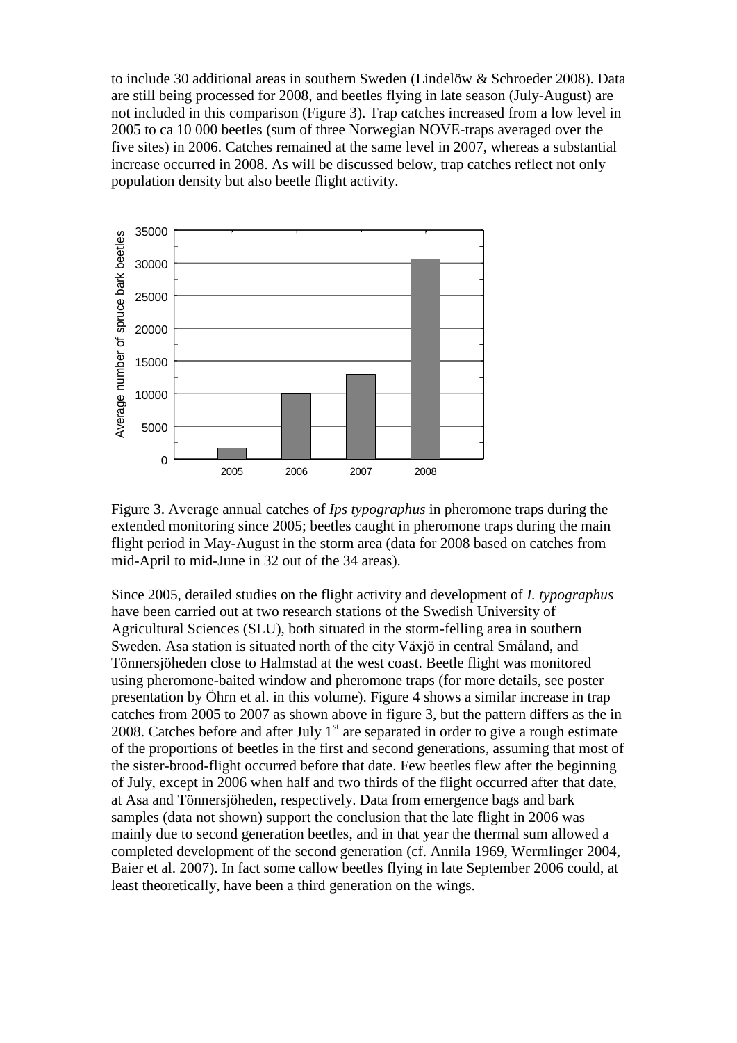to include 30 additional areas in southern Sweden (Lindelöw & Schroeder 2008). Data are still being processed for 2008, and beetles flying in late season (July-August) are not included in this comparison (Figure 3). Trap catches increased from a low level in 2005 to ca 10 000 beetles (sum of three Norwegian NOVE-traps averaged over the five sites) in 2006. Catches remained at the same level in 2007, whereas a substantial increase occurred in 2008. As will be discussed below, trap catches reflect not only population density but also beetle flight activity.



Figure 3. Average annual catches of *Ips typographus* in pheromone traps during the extended monitoring since 2005; beetles caught in pheromone traps during the main flight period in May-August in the storm area (data for 2008 based on catches from mid-April to mid-June in 32 out of the 34 areas).

Since 2005, detailed studies on the flight activity and development of *I. typographus* have been carried out at two research stations of the Swedish University of Agricultural Sciences (SLU), both situated in the storm-felling area in southern Sweden. Asa station is situated north of the city Växjö in central Småland, and Tönnersjöheden close to Halmstad at the west coast. Beetle flight was monitored using pheromone-baited window and pheromone traps (for more details, see poster presentation by Öhrn et al. in this volume). Figure 4 shows a similar increase in trap catches from 2005 to 2007 as shown above in figure 3, but the pattern differs as the in 2008. Catches before and after July  $1<sup>st</sup>$  are separated in order to give a rough estimate of the proportions of beetles in the first and second generations, assuming that most of the sister-brood-flight occurred before that date. Few beetles flew after the beginning of July, except in 2006 when half and two thirds of the flight occurred after that date, at Asa and Tönnersjöheden, respectively. Data from emergence bags and bark samples (data not shown) support the conclusion that the late flight in 2006 was mainly due to second generation beetles, and in that year the thermal sum allowed a completed development of the second generation (cf. Annila 1969, Wermlinger 2004, Baier et al. 2007). In fact some callow beetles flying in late September 2006 could, at least theoretically, have been a third generation on the wings.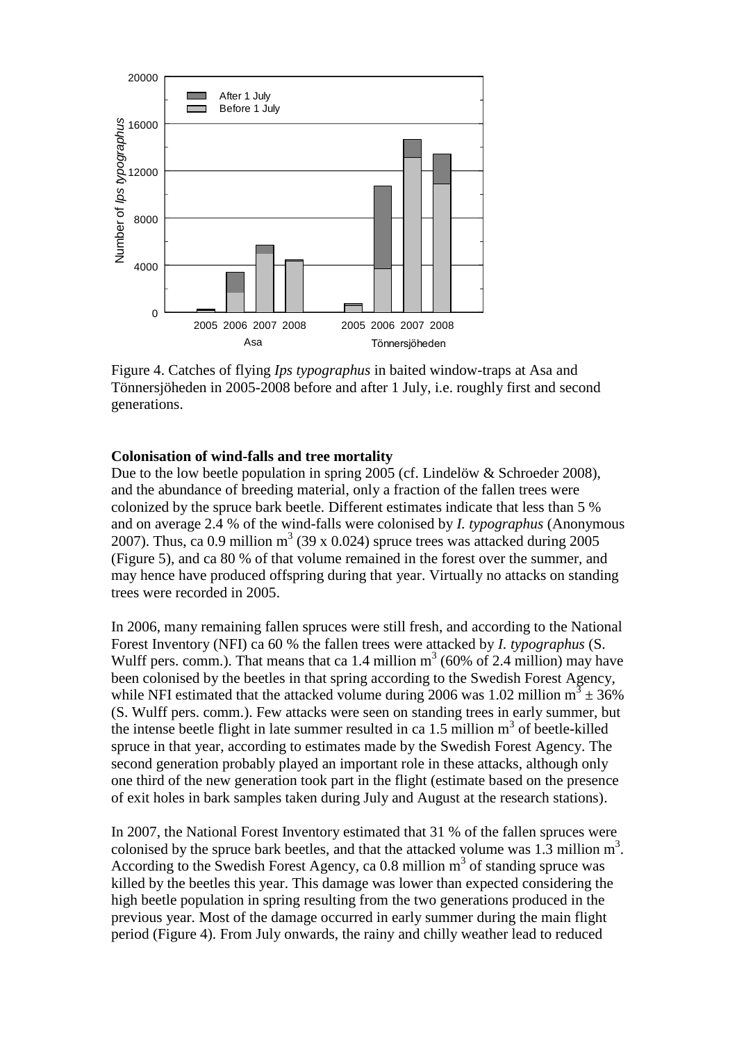

Figure 4. Catches of flying *Ips typographus* in baited window-traps at Asa and Tönnersjöheden in 2005-2008 before and after 1 July, i.e. roughly first and second generations.

### **Colonisation of wind-falls and tree mortality**

Due to the low beetle population in spring 2005 (cf. Lindelöw & Schroeder 2008), and the abundance of breeding material, only a fraction of the fallen trees were colonized by the spruce bark beetle. Different estimates indicate that less than 5 % and on average 2.4 % of the wind-falls were colonised by *I. typographus* (Anonymous 2007). Thus, ca 0.9 million  $m^3$  (39 x 0.024) spruce trees was attacked during 2005 (Figure 5), and ca 80 % of that volume remained in the forest over the summer, and may hence have produced offspring during that year. Virtually no attacks on standing trees were recorded in 2005.

In 2006, many remaining fallen spruces were still fresh, and according to the National Forest Inventory (NFI) ca 60 % the fallen trees were attacked by *I. typographus* (S. Wulff pers. comm.). That means that ca 1.4 million  $m<sup>3</sup>$  (60% of 2.4 million) may have been colonised by the beetles in that spring according to the Swedish Forest Agency, while NFI estimated that the attacked volume during 2006 was 1.02 million  $m^3 \pm 36\%$ (S. Wulff pers. comm.). Few attacks were seen on standing trees in early summer, but the intense beetle flight in late summer resulted in ca  $1.5$  million  $m<sup>3</sup>$  of beetle-killed spruce in that year, according to estimates made by the Swedish Forest Agency. The second generation probably played an important role in these attacks, although only one third of the new generation took part in the flight (estimate based on the presence of exit holes in bark samples taken during July and August at the research stations).

In 2007, the National Forest Inventory estimated that 31 % of the fallen spruces were colonised by the spruce bark beetles, and that the attacked volume was  $1.\overline{3}$  million  $m^3$ . According to the Swedish Forest Agency, ca  $0.8$  million  $m<sup>3</sup>$  of standing spruce was killed by the beetles this year. This damage was lower than expected considering the high beetle population in spring resulting from the two generations produced in the previous year. Most of the damage occurred in early summer during the main flight period (Figure 4). From July onwards, the rainy and chilly weather lead to reduced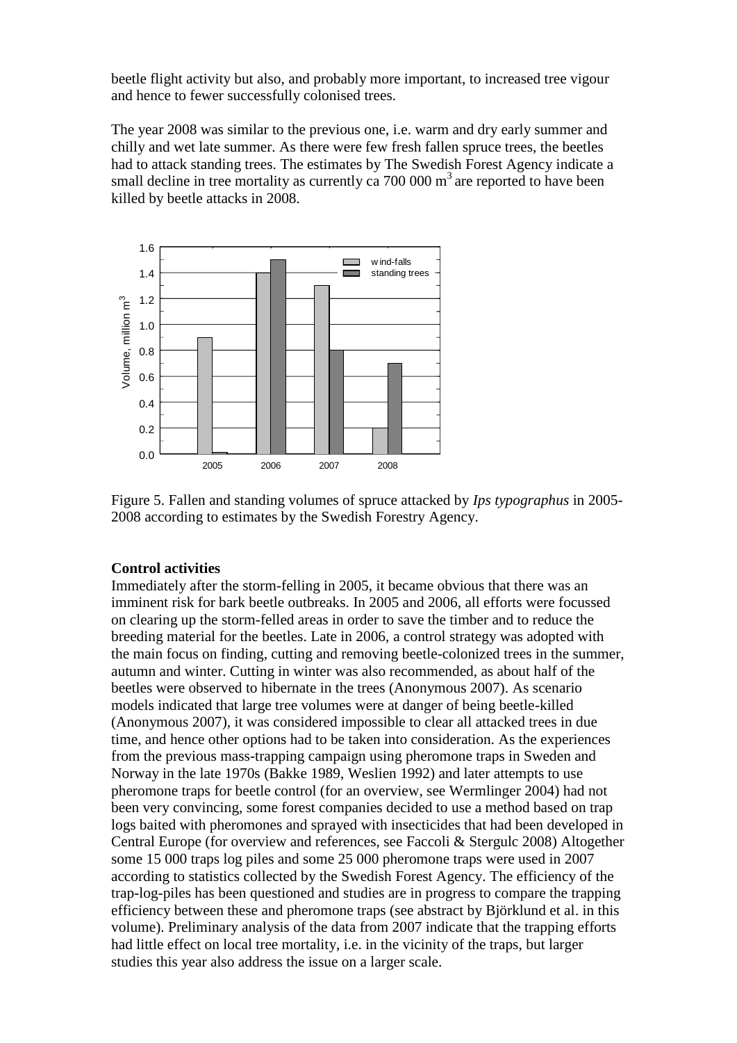beetle flight activity but also, and probably more important, to increased tree vigour and hence to fewer successfully colonised trees.

The year 2008 was similar to the previous one, i.e. warm and dry early summer and chilly and wet late summer. As there were few fresh fallen spruce trees, the beetles had to attack standing trees. The estimates by The Swedish Forest Agency indicate a small decline in tree mortality as currently ca  $700\,000\,\mathrm{m}^3$  are reported to have been killed by beetle attacks in 2008.



Figure 5. Fallen and standing volumes of spruce attacked by *Ips typographus* in 2005- 2008 according to estimates by the Swedish Forestry Agency.

### **Control activities**

Immediately after the storm-felling in 2005, it became obvious that there was an imminent risk for bark beetle outbreaks. In 2005 and 2006, all efforts were focussed on clearing up the storm-felled areas in order to save the timber and to reduce the breeding material for the beetles. Late in 2006, a control strategy was adopted with the main focus on finding, cutting and removing beetle-colonized trees in the summer, autumn and winter. Cutting in winter was also recommended, as about half of the beetles were observed to hibernate in the trees (Anonymous 2007). As scenario models indicated that large tree volumes were at danger of being beetle-killed (Anonymous 2007), it was considered impossible to clear all attacked trees in due time, and hence other options had to be taken into consideration. As the experiences from the previous mass-trapping campaign using pheromone traps in Sweden and Norway in the late 1970s (Bakke 1989, Weslien 1992) and later attempts to use pheromone traps for beetle control (for an overview, see Wermlinger 2004) had not been very convincing, some forest companies decided to use a method based on trap logs baited with pheromones and sprayed with insecticides that had been developed in Central Europe (for overview and references, see Faccoli & Stergulc 2008) Altogether some 15 000 traps log piles and some 25 000 pheromone traps were used in 2007 according to statistics collected by the Swedish Forest Agency. The efficiency of the trap-log-piles has been questioned and studies are in progress to compare the trapping efficiency between these and pheromone traps (see abstract by Björklund et al. in this volume). Preliminary analysis of the data from 2007 indicate that the trapping efforts had little effect on local tree mortality, i.e. in the vicinity of the traps, but larger studies this year also address the issue on a larger scale.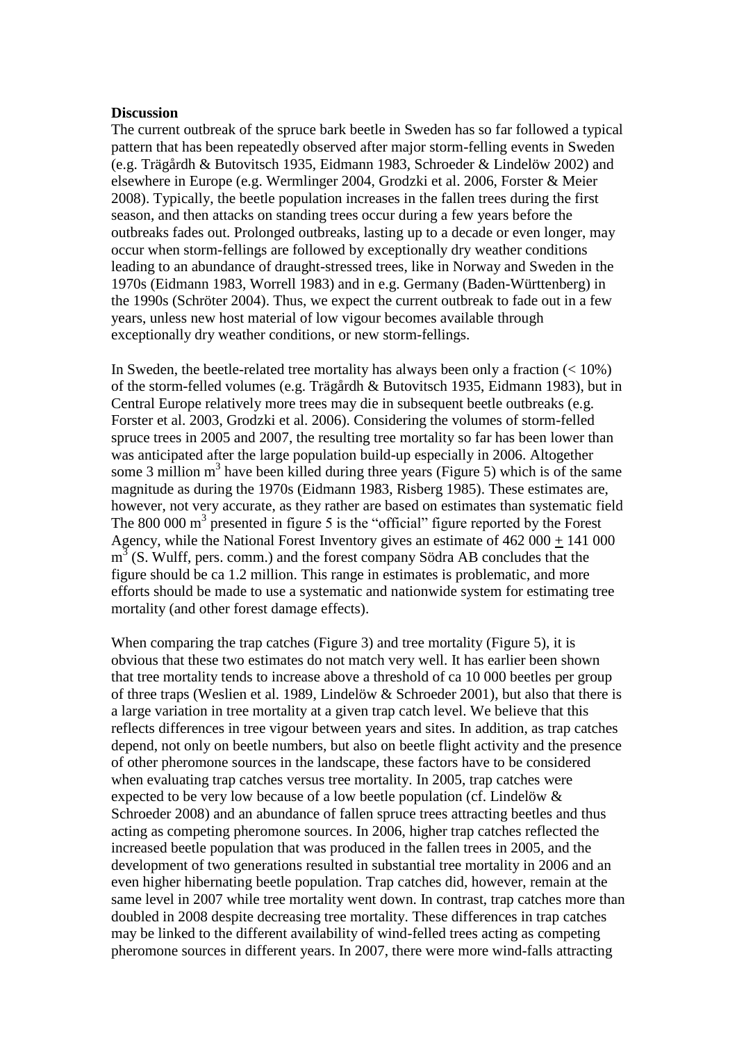#### **Discussion**

The current outbreak of the spruce bark beetle in Sweden has so far followed a typical pattern that has been repeatedly observed after major storm-felling events in Sweden (e.g. Trägårdh & Butovitsch 1935, Eidmann 1983, Schroeder & Lindelöw 2002) and elsewhere in Europe (e.g. Wermlinger 2004, Grodzki et al. 2006, Forster & Meier 2008). Typically, the beetle population increases in the fallen trees during the first season, and then attacks on standing trees occur during a few years before the outbreaks fades out. Prolonged outbreaks, lasting up to a decade or even longer, may occur when storm-fellings are followed by exceptionally dry weather conditions leading to an abundance of draught-stressed trees, like in Norway and Sweden in the 1970s (Eidmann 1983, Worrell 1983) and in e.g. Germany (Baden-Württenberg) in the 1990s (Schröter 2004). Thus, we expect the current outbreak to fade out in a few years, unless new host material of low vigour becomes available through exceptionally dry weather conditions, or new storm-fellings.

In Sweden, the beetle-related tree mortality has always been only a fraction  $\left($  < 10%) of the storm-felled volumes (e.g. Trägårdh & Butovitsch 1935, Eidmann 1983), but in Central Europe relatively more trees may die in subsequent beetle outbreaks (e.g. Forster et al. 2003, Grodzki et al. 2006). Considering the volumes of storm-felled spruce trees in 2005 and 2007, the resulting tree mortality so far has been lower than was anticipated after the large population build-up especially in 2006. Altogether some 3 million  $m<sup>3</sup>$  have been killed during three years (Figure 5) which is of the same magnitude as during the 1970s (Eidmann 1983, Risberg 1985). These estimates are, however, not very accurate, as they rather are based on estimates than systematic field The 800 000  $\text{m}^3$  presented in figure 5 is the "official" figure reported by the Forest Agency, while the National Forest Inventory gives an estimate of 462 000 + 141 000  $m^3$  (S. Wulff, pers. comm.) and the forest company Södra AB concludes that the figure should be ca 1.2 million. This range in estimates is problematic, and more efforts should be made to use a systematic and nationwide system for estimating tree mortality (and other forest damage effects).

When comparing the trap catches (Figure 3) and tree mortality (Figure 5), it is obvious that these two estimates do not match very well. It has earlier been shown that tree mortality tends to increase above a threshold of ca 10 000 beetles per group of three traps (Weslien et al. 1989, Lindelöw & Schroeder 2001), but also that there is a large variation in tree mortality at a given trap catch level. We believe that this reflects differences in tree vigour between years and sites. In addition, as trap catches depend, not only on beetle numbers, but also on beetle flight activity and the presence of other pheromone sources in the landscape, these factors have to be considered when evaluating trap catches versus tree mortality. In 2005, trap catches were expected to be very low because of a low beetle population (cf. Lindelöw & Schroeder 2008) and an abundance of fallen spruce trees attracting beetles and thus acting as competing pheromone sources. In 2006, higher trap catches reflected the increased beetle population that was produced in the fallen trees in 2005, and the development of two generations resulted in substantial tree mortality in 2006 and an even higher hibernating beetle population. Trap catches did, however, remain at the same level in 2007 while tree mortality went down. In contrast, trap catches more than doubled in 2008 despite decreasing tree mortality. These differences in trap catches may be linked to the different availability of wind-felled trees acting as competing pheromone sources in different years. In 2007, there were more wind-falls attracting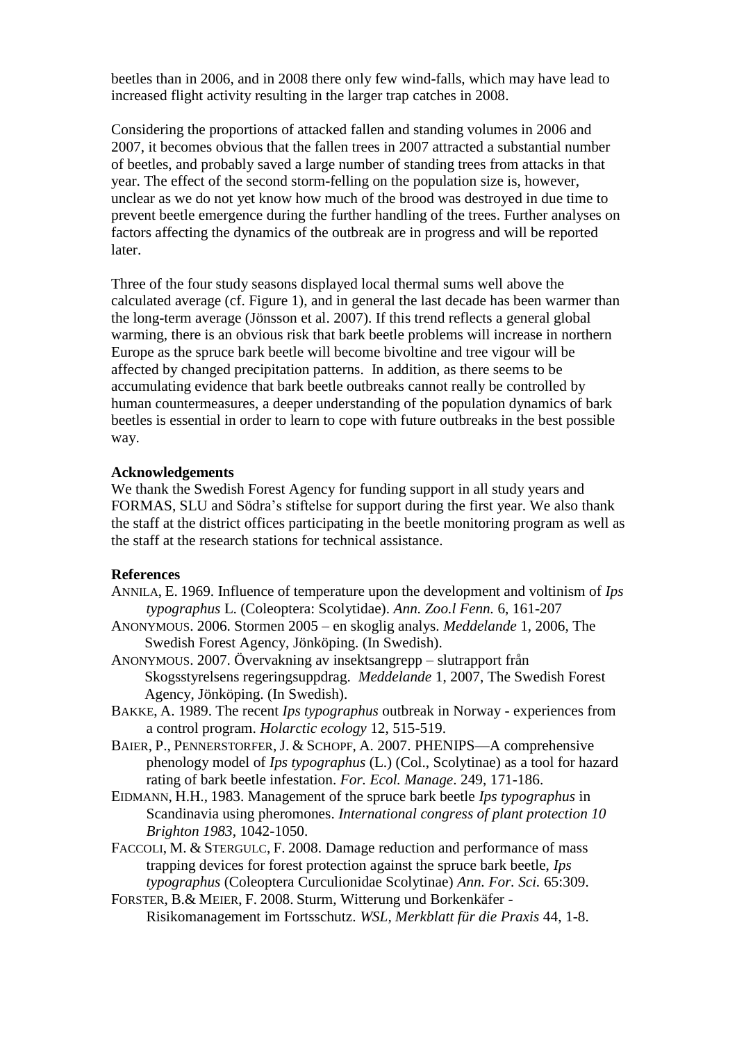beetles than in 2006, and in 2008 there only few wind-falls, which may have lead to increased flight activity resulting in the larger trap catches in 2008.

Considering the proportions of attacked fallen and standing volumes in 2006 and 2007, it becomes obvious that the fallen trees in 2007 attracted a substantial number of beetles, and probably saved a large number of standing trees from attacks in that year. The effect of the second storm-felling on the population size is, however, unclear as we do not yet know how much of the brood was destroyed in due time to prevent beetle emergence during the further handling of the trees. Further analyses on factors affecting the dynamics of the outbreak are in progress and will be reported later.

Three of the four study seasons displayed local thermal sums well above the calculated average (cf. Figure 1), and in general the last decade has been warmer than the long-term average (Jönsson et al. 2007). If this trend reflects a general global warming, there is an obvious risk that bark beetle problems will increase in northern Europe as the spruce bark beetle will become bivoltine and tree vigour will be affected by changed precipitation patterns. In addition, as there seems to be accumulating evidence that bark beetle outbreaks cannot really be controlled by human countermeasures, a deeper understanding of the population dynamics of bark beetles is essential in order to learn to cope with future outbreaks in the best possible way.

## **Acknowledgements**

We thank the Swedish Forest Agency for funding support in all study years and FORMAS, SLU and Södra's stiftelse for support during the first year. We also thank the staff at the district offices participating in the beetle monitoring program as well as the staff at the research stations for technical assistance.

# **References**

- ANNILA, E. 1969. Influence of temperature upon the development and voltinism of *Ips typographus* L. (Coleoptera: Scolytidae). *Ann. Zoo.l Fenn.* 6, 161-207
- ANONYMOUS. 2006. Stormen 2005 en skoglig analys. *Meddelande* 1, 2006, The Swedish Forest Agency, Jönköping. (In Swedish).
- ANONYMOUS. 2007. Övervakning av insektsangrepp slutrapport från Skogsstyrelsens regeringsuppdrag. *Meddelande* 1, 2007, The Swedish Forest Agency, Jönköping. (In Swedish).
- BAKKE, A. 1989. The recent *Ips typographus* outbreak in Norway experiences from a control program. *Holarctic ecology* 12, 515-519.
- BAIER, P., PENNERSTORFER, J. & SCHOPF, A. 2007. PHENIPS—A comprehensive phenology model of *Ips typographus* (L.) (Col., Scolytinae) as a tool for hazard rating of bark beetle infestation. *For. Ecol. Manage*. 249, 171-186.
- EIDMANN, H.H., 1983. Management of the spruce bark beetle *Ips typographus* in Scandinavia using pheromones. *International congress of plant protection 10 Brighton 1983*, 1042-1050.
- FACCOLI, M. & STERGULC, F. 2008. Damage reduction and performance of mass trapping devices for forest protection against the spruce bark beetle, *Ips typographus* (Coleoptera Curculionidae Scolytinae) *Ann. For. Sci.* 65:309.
- FORSTER, B.& MEIER, F. 2008. Sturm, Witterung und Borkenkäfer Risikomanagement im Fortsschutz. *WSL, Merkblatt für die Praxis* 44, 1-8.